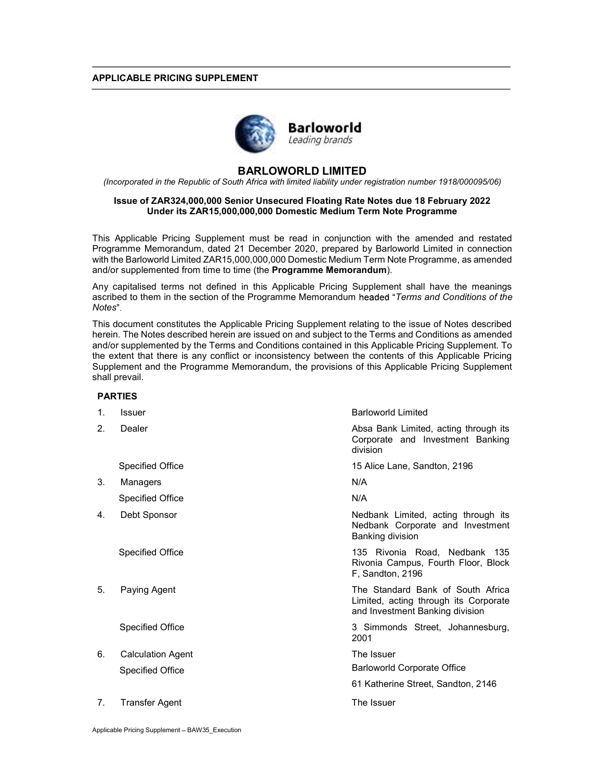## APPLICABLE PRICING SUPPLEMENT



# BARLOWORLD LIMITED

(Incorporated in the Republic of South Africa with limited liability under registration number 1918/000095/06)

## Issue of ZAR324,000,000 Senior Unsecured Floating Rate Notes due 18 February 2022 Under its ZAR15,000,000,000 Domestic Medium Term Note Programme

This Applicable Pricing Supplement must be read in conjunction with the amended and restated Programme Memorandum, dated 21 December 2020, prepared by Barloworld Limited in connection with the Barloworld Limited ZAR15,000,000,000 Domestic Medium Term Note Programme, as amended and/or supplemented from time to time (the **Programme Memorandum**).

Any capitalised terms not defined in this Applicable Pricing Supplement shall have the meanings ascribed to them in the section of the Programme Memorandum headed "Terms and Conditions of the Notes"

This document constitutes the Applicable Pricing Supplement relating to the issue of Notes described herein. The Notes described herein are issued on and subject to the Terms and Conditions as amended and/or supplemented by the Terms and Conditions contained in this Applicable Pricing Supplement. To the extent that there is any conflict or inconsistency between the contents of this Applicable Pricing Supplement and the Programme Memorandum, the provisions of this Applicable Pricing Supplement shall prevail.

### PARTIES

| $\mathbf{1}$ . | <b>Issuer</b>            | <b>Barloworld Limited</b>                                                                                     |
|----------------|--------------------------|---------------------------------------------------------------------------------------------------------------|
| 2.             | Dealer                   | Absa Bank Limited, acting through its<br>Corporate and Investment Banking<br>division                         |
|                | <b>Specified Office</b>  | 15 Alice Lane, Sandton, 2196                                                                                  |
| 3.             | Managers                 | N/A                                                                                                           |
|                | <b>Specified Office</b>  | N/A                                                                                                           |
| 4.             | Debt Sponsor             | Nedbank Limited, acting through its<br>Nedbank Corporate and Investment<br>Banking division                   |
|                | <b>Specified Office</b>  | 135 Rivonia Road, Nedbank 135<br>Rivonia Campus, Fourth Floor, Block<br>F, Sandton, 2196                      |
| 5.             | Paying Agent             | The Standard Bank of South Africa<br>Limited, acting through its Corporate<br>and Investment Banking division |
|                | <b>Specified Office</b>  | 3 Simmonds Street, Johannesburg,<br>2001                                                                      |
| 6.             | <b>Calculation Agent</b> | The Issuer                                                                                                    |
|                | <b>Specified Office</b>  | Barloworld Corporate Office                                                                                   |
|                |                          | 61 Katherine Street, Sandton, 2146                                                                            |
| 7 <sub>1</sub> | Transfer Agent           | The Issuer                                                                                                    |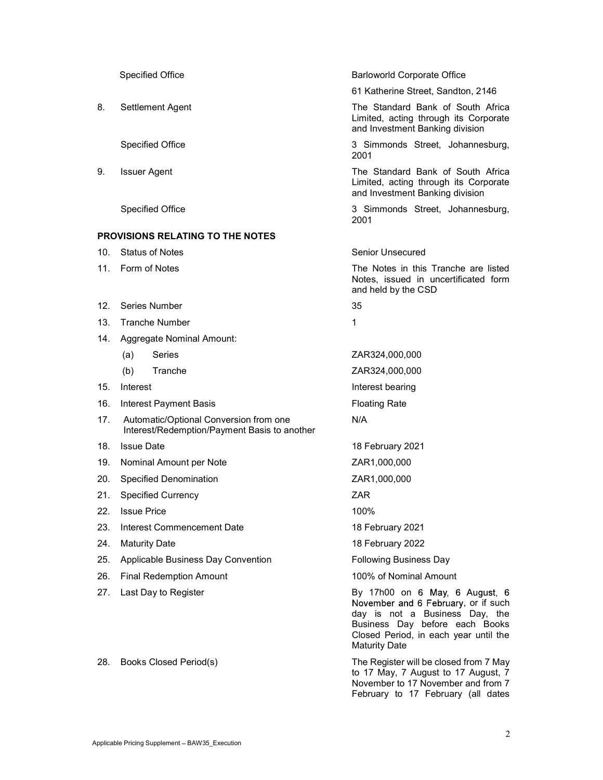|     | <b>Specified Office</b>                                                                | <b>Barloworld Corporate Office</b>                                                                                                                                                                         |  |
|-----|----------------------------------------------------------------------------------------|------------------------------------------------------------------------------------------------------------------------------------------------------------------------------------------------------------|--|
|     |                                                                                        | 61 Katherine Street, Sandton, 2146                                                                                                                                                                         |  |
| 8.  | Settlement Agent                                                                       | The Standard Bank of South Africa<br>Limited, acting through its Corporate<br>and Investment Banking division                                                                                              |  |
|     | <b>Specified Office</b>                                                                | 3 Simmonds Street, Johannesburg,<br>2001                                                                                                                                                                   |  |
| 9.  | <b>Issuer Agent</b>                                                                    | The Standard Bank of South Africa<br>Limited, acting through its Corporate<br>and Investment Banking division                                                                                              |  |
|     | <b>Specified Office</b>                                                                | 3 Simmonds Street, Johannesburg,<br>2001                                                                                                                                                                   |  |
|     | <b>PROVISIONS RELATING TO THE NOTES</b>                                                |                                                                                                                                                                                                            |  |
| 10. | <b>Status of Notes</b>                                                                 | Senior Unsecured                                                                                                                                                                                           |  |
| 11. | Form of Notes                                                                          | The Notes in this Tranche are listed<br>Notes, issued in uncertificated form<br>and held by the CSD                                                                                                        |  |
| 12. | Series Number                                                                          | 35                                                                                                                                                                                                         |  |
| 13. | <b>Tranche Number</b>                                                                  | 1                                                                                                                                                                                                          |  |
| 14. | Aggregate Nominal Amount:                                                              |                                                                                                                                                                                                            |  |
|     | <b>Series</b><br>(a)                                                                   | ZAR324,000,000                                                                                                                                                                                             |  |
|     | (b)<br>Tranche                                                                         | ZAR324,000,000                                                                                                                                                                                             |  |
| 15. | Interest                                                                               | Interest bearing                                                                                                                                                                                           |  |
| 16. | <b>Interest Payment Basis</b>                                                          | <b>Floating Rate</b>                                                                                                                                                                                       |  |
| 17. | Automatic/Optional Conversion from one<br>Interest/Redemption/Payment Basis to another | N/A                                                                                                                                                                                                        |  |
| 18. | <b>Issue Date</b>                                                                      | 18 February 2021                                                                                                                                                                                           |  |
| 19. | Nominal Amount per Note                                                                | ZAR1,000,000                                                                                                                                                                                               |  |
| 20. | <b>Specified Denomination</b>                                                          | ZAR1,000,000                                                                                                                                                                                               |  |
| 21. | <b>Specified Currency</b>                                                              | ZAR                                                                                                                                                                                                        |  |
| 22. | <b>Issue Price</b>                                                                     | 100%                                                                                                                                                                                                       |  |
| 23. | Interest Commencement Date                                                             | 18 February 2021                                                                                                                                                                                           |  |
| 24. | <b>Maturity Date</b>                                                                   | 18 February 2022                                                                                                                                                                                           |  |
| 25. | Applicable Business Day Convention                                                     | <b>Following Business Day</b>                                                                                                                                                                              |  |
| 26. | <b>Final Redemption Amount</b>                                                         | 100% of Nominal Amount                                                                                                                                                                                     |  |
| 27. | Last Day to Register                                                                   | By 17h00 on 6 May, 6 August, 6<br>November and 6 February, or if such<br>day is not a Business Day, the<br>Business Day before each Books<br>Closed Period, in each year until the<br><b>Maturity Date</b> |  |
| 28. | Books Closed Period(s)                                                                 | The Register will be closed from 7 May<br>to 17 May, 7 August to 17 August, 7<br>November to 17 November and from 7                                                                                        |  |

February to 17 February (all dates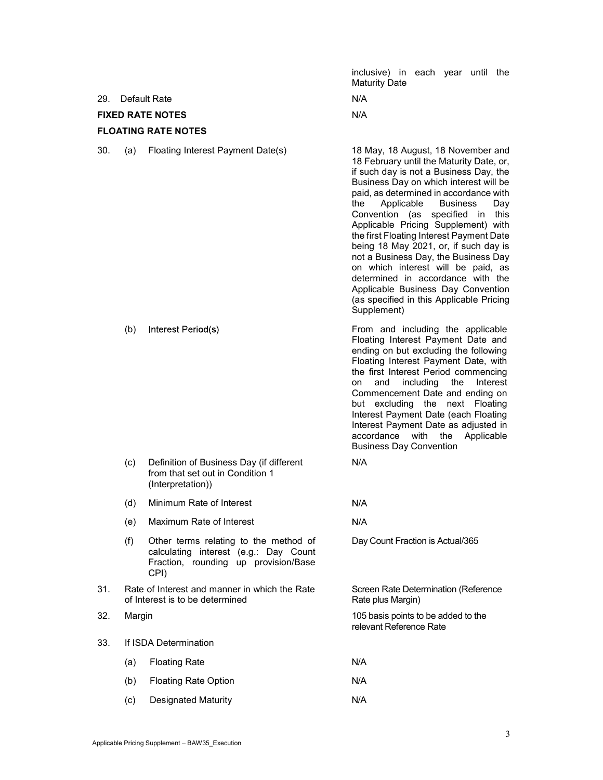inclusive) in each year until the Maturity Date

29. Default Rate N/A

FIXED RATE NOTES N/A

# FLOATING RATE NOTES

30. (a) Floating Interest Payment Date(s) 18 May, 18 August, 18 November and

18 February until the Maturity Date, or, if such day is not a Business Day, the Business Day on which interest will be paid, as determined in accordance with the Applicable Business Day Convention (as specified in this Applicable Pricing Supplement) with the first Floating Interest Payment Date being 18 May 2021, or, if such day is not a Business Day, the Business Day on which interest will be paid, as determined in accordance with the Applicable Business Day Convention (as specified in this Applicable Pricing Supplement)

 (b) From and including the applicable Floating Interest Payment Date and ending on but excluding the following Floating Interest Payment Date, with the first Interest Period commencing

 $N/A$ 

 $N/A$ 

on and including the Interest Commencement Date and ending on but excluding the next Floating Interest Payment Date (each Floating Interest Payment Date as adjusted in accordance with the Applicable Business Day Convention

Day Count Fraction is Actual/365

Rate plus Margin)

relevant Reference Rate

Screen Rate Determination (Reference

- (c) Definition of Business Day (if different from that set out in Condition 1 (Interpretation)) N/A
- (d) Minimum Rate of Interest
- (e) Maximum Rate of Interest
- (f) Other terms relating to the method of calculating interest (e.g.: Day Count Fraction, rounding up provision/Base CPI)
- 31. Rate of Interest and manner in which the Rate of Interest is to be determined
- 32. Margin 105 basis points to be added to the

## 33. If ISDA Determination

- (a) Floating Rate N/A (b) Floating Rate Option N/A
- (c) Designated Maturity N/A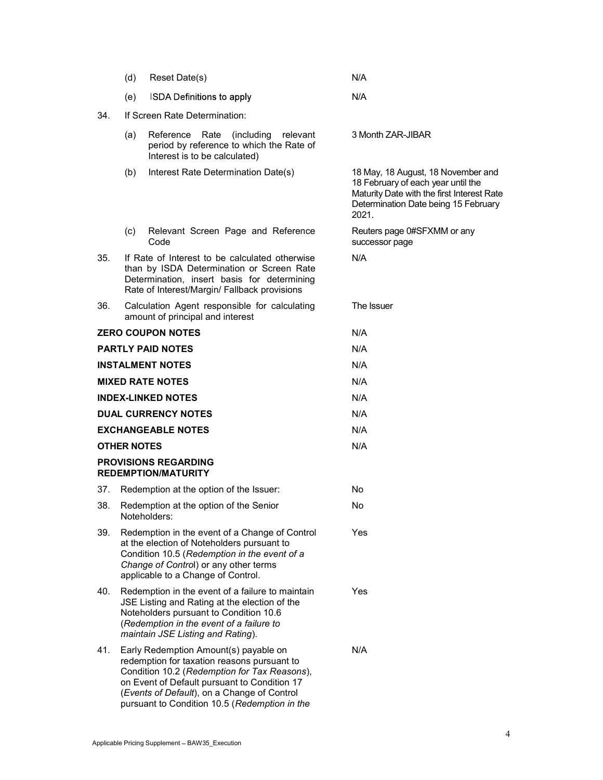|                            | (d)                                                                                                                                                                                        | Reset Date(s)                                                                                                                                                                                                                                                                        | N/A                                                                                                                                                                     |  |  |
|----------------------------|--------------------------------------------------------------------------------------------------------------------------------------------------------------------------------------------|--------------------------------------------------------------------------------------------------------------------------------------------------------------------------------------------------------------------------------------------------------------------------------------|-------------------------------------------------------------------------------------------------------------------------------------------------------------------------|--|--|
|                            | (e)                                                                                                                                                                                        | <b>ISDA Definitions to apply</b>                                                                                                                                                                                                                                                     | N/A                                                                                                                                                                     |  |  |
| 34.                        | If Screen Rate Determination:                                                                                                                                                              |                                                                                                                                                                                                                                                                                      |                                                                                                                                                                         |  |  |
|                            | (a)                                                                                                                                                                                        | Reference Rate<br>(including)<br>relevant<br>period by reference to which the Rate of<br>Interest is to be calculated)                                                                                                                                                               | 3 Month ZAR-JIBAR                                                                                                                                                       |  |  |
|                            | (b)                                                                                                                                                                                        | Interest Rate Determination Date(s)                                                                                                                                                                                                                                                  | 18 May, 18 August, 18 November and<br>18 February of each year until the<br>Maturity Date with the first Interest Rate<br>Determination Date being 15 February<br>2021. |  |  |
|                            | (c)                                                                                                                                                                                        | Relevant Screen Page and Reference<br>Code                                                                                                                                                                                                                                           | Reuters page 0#SFXMM or any<br>successor page                                                                                                                           |  |  |
| 35.                        | If Rate of Interest to be calculated otherwise<br>than by ISDA Determination or Screen Rate<br>Determination, insert basis for determining<br>Rate of Interest/Margin/ Fallback provisions |                                                                                                                                                                                                                                                                                      | N/A                                                                                                                                                                     |  |  |
| 36.                        |                                                                                                                                                                                            | Calculation Agent responsible for calculating<br>amount of principal and interest                                                                                                                                                                                                    | The Issuer                                                                                                                                                              |  |  |
|                            |                                                                                                                                                                                            | <b>ZERO COUPON NOTES</b>                                                                                                                                                                                                                                                             | N/A                                                                                                                                                                     |  |  |
|                            |                                                                                                                                                                                            | <b>PARTLY PAID NOTES</b>                                                                                                                                                                                                                                                             | N/A                                                                                                                                                                     |  |  |
|                            |                                                                                                                                                                                            | <b>INSTALMENT NOTES</b>                                                                                                                                                                                                                                                              | N/A                                                                                                                                                                     |  |  |
|                            |                                                                                                                                                                                            | <b>MIXED RATE NOTES</b>                                                                                                                                                                                                                                                              | N/A                                                                                                                                                                     |  |  |
|                            |                                                                                                                                                                                            | <b>INDEX-LINKED NOTES</b>                                                                                                                                                                                                                                                            | N/A                                                                                                                                                                     |  |  |
| <b>DUAL CURRENCY NOTES</b> |                                                                                                                                                                                            |                                                                                                                                                                                                                                                                                      | N/A                                                                                                                                                                     |  |  |
| <b>EXCHANGEABLE NOTES</b>  |                                                                                                                                                                                            |                                                                                                                                                                                                                                                                                      | N/A                                                                                                                                                                     |  |  |
|                            | <b>OTHER NOTES</b>                                                                                                                                                                         |                                                                                                                                                                                                                                                                                      | N/A                                                                                                                                                                     |  |  |
|                            |                                                                                                                                                                                            | <b>PROVISIONS REGARDING</b><br><b>REDEMPTION/MATURITY</b>                                                                                                                                                                                                                            |                                                                                                                                                                         |  |  |
| 37.                        |                                                                                                                                                                                            | Redemption at the option of the Issuer:                                                                                                                                                                                                                                              | No                                                                                                                                                                      |  |  |
| 38.                        |                                                                                                                                                                                            | Redemption at the option of the Senior<br>Noteholders:                                                                                                                                                                                                                               | No                                                                                                                                                                      |  |  |
| 39.                        |                                                                                                                                                                                            | Redemption in the event of a Change of Control<br>at the election of Noteholders pursuant to<br>Condition 10.5 (Redemption in the event of a<br>Change of Control) or any other terms<br>applicable to a Change of Control.                                                          | Yes                                                                                                                                                                     |  |  |
| 40.                        |                                                                                                                                                                                            | Redemption in the event of a failure to maintain<br>JSE Listing and Rating at the election of the<br>Noteholders pursuant to Condition 10.6<br>(Redemption in the event of a failure to<br>maintain JSE Listing and Rating).                                                         | Yes                                                                                                                                                                     |  |  |
| 41.                        |                                                                                                                                                                                            | Early Redemption Amount(s) payable on<br>redemption for taxation reasons pursuant to<br>Condition 10.2 (Redemption for Tax Reasons),<br>on Event of Default pursuant to Condition 17<br>(Events of Default), on a Change of Control<br>pursuant to Condition 10.5 (Redemption in the | N/A                                                                                                                                                                     |  |  |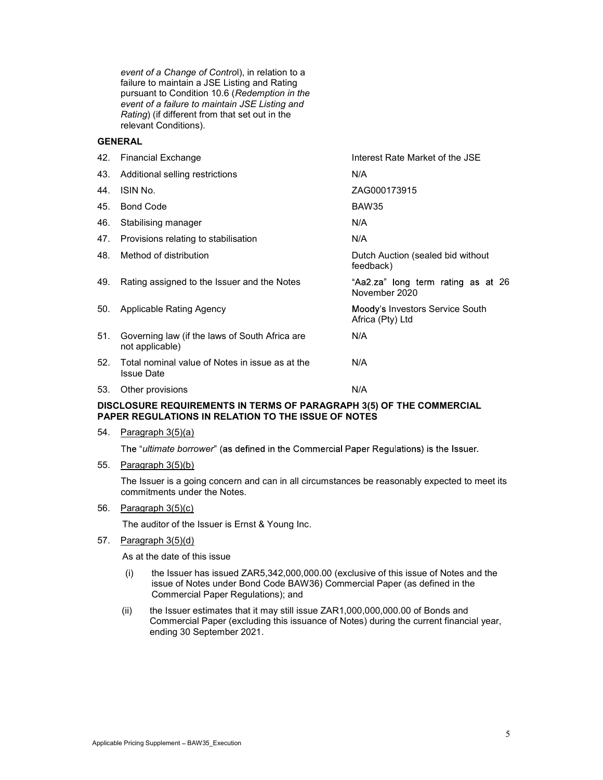event of a Change of Control), in relation to a failure to maintain a JSE Listing and Rating pursuant to Condition 10.6 (Redemption in the event of a failure to maintain JSE Listing and Rating) (if different from that set out in the relevant Conditions).

## GENERAL

|     | 42. Financial Exchange                                               | Interest Rate Market of the JSE                     |
|-----|----------------------------------------------------------------------|-----------------------------------------------------|
| 43. | Additional selling restrictions                                      | N/A                                                 |
| 44. | ISIN No.                                                             | ZAG000173915                                        |
| 45. | <b>Bond Code</b>                                                     | BAW35                                               |
| 46. | Stabilising manager                                                  | N/A                                                 |
| 47. | Provisions relating to stabilisation                                 | N/A                                                 |
| 48. | Method of distribution                                               | Dutch Auction (sealed bid without<br>feedback)      |
| 49. | Rating assigned to the Issuer and the Notes                          | "Aa2.za" long term rating as at 26<br>November 2020 |
| 50. | Applicable Rating Agency                                             | Moody's Investors Service South<br>Africa (Pty) Ltd |
| 51. | Governing law (if the laws of South Africa are<br>not applicable)    | N/A                                                 |
| 52. | Total nominal value of Notes in issue as at the<br><b>Issue Date</b> | N/A                                                 |
| 53. | Other provisions                                                     | N/A                                                 |
|     |                                                                      |                                                     |

## DISCLOSURE REQUIREMENTS IN TERMS OF PARAGRAPH 3(5) OF THE COMMERCIAL PAPER REGULATIONS IN RELATION TO THE ISSUE OF NOTES

54. Paragraph 3(5)(a)

The "ultimate borrower" (as defined in the Commercial Paper Regulations) is the Issuer.

55. Paragraph 3(5)(b)

The Issuer is a going concern and can in all circumstances be reasonably expected to meet its commitments under the Notes.

56. Paragraph 3(5)(c)

The auditor of the Issuer is Ernst & Young Inc.

57. Paragraph 3(5)(d)

As at the date of this issue

- (i) the Issuer has issued ZAR5,342,000,000.00 (exclusive of this issue of Notes and the issue of Notes under Bond Code BAW36) Commercial Paper (as defined in the Commercial Paper Regulations); and
- (ii) the Issuer estimates that it may still issue ZAR1,000,000,000.00 of Bonds and Commercial Paper (excluding this issuance of Notes) during the current financial year, ending 30 September 2021.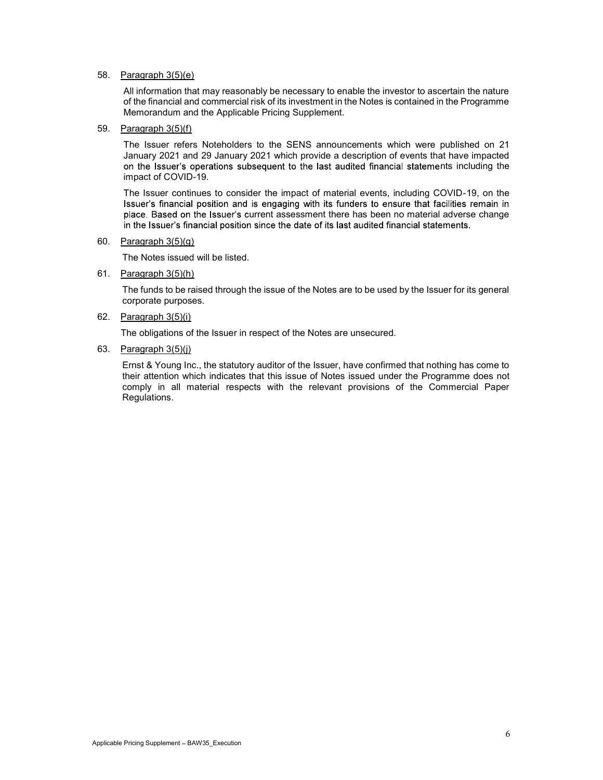## 58. Paragraph 3(5)(e)

All information that may reasonably be necessary to enable the investor to ascertain the nature of the financial and commercial risk of its investment in the Notes is contained in the Programme Memorandum and the Applicable Pricing Supplement.

### 59. Paragraph 3(5)(f)

The Issuer refers Noteholders to the SENS announcements which were published on 21 January 2021 and 29 January 2021 which provide a description of events that have impacted on the Issuer's operations subsequent to the last audited financial statements including the impact of COVID-19.

The Issuer continues to consider the impact of material events, including COVID-19, on the Issuer's financial position and is engaging with its funders to ensure that facilities remain in place. Based on the Issuer's current assessment there has been no material adverse change in the Issuer's financial position since the date of its last audited financial statements.

#### 60. Paragraph 3(5)(g)

The Notes issued will be listed.

61. Paragraph 3(5)(h)

The funds to be raised through the issue of the Notes are to be used by the Issuer for its general corporate purposes.

### 62. Paragraph 3(5)(i)

The obligations of the Issuer in respect of the Notes are unsecured.

#### 63. Paragraph 3(5)(j)

Ernst & Young Inc., the statutory auditor of the Issuer, have confirmed that nothing has come to their attention which indicates that this issue of Notes issued under the Programme does not comply in all material respects with the relevant provisions of the Commercial Paper Regulations.